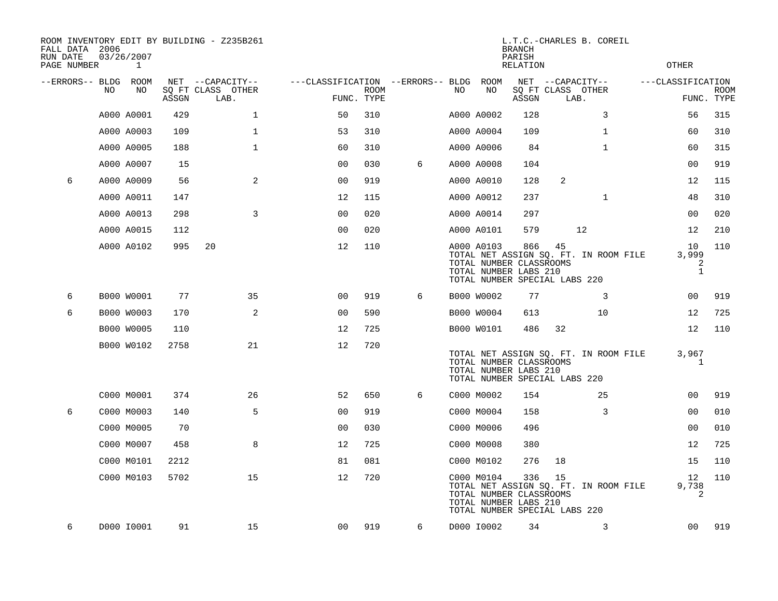| FALL DATA 2006<br>RUN DATE<br>PAGE NUMBER |     | 03/26/2007<br>1 |       | ROOM INVENTORY EDIT BY BUILDING - Z235B261 |                                        |             |   |     |            | <b>BRANCH</b><br>PARISH<br>RELATION                                                      |                           | L.T.C.-CHARLES B. COREIL              | OTHER                            |                           |
|-------------------------------------------|-----|-----------------|-------|--------------------------------------------|----------------------------------------|-------------|---|-----|------------|------------------------------------------------------------------------------------------|---------------------------|---------------------------------------|----------------------------------|---------------------------|
| --ERRORS-- BLDG ROOM                      |     |                 |       | NET --CAPACITY--                           | ---CLASSIFICATION --ERRORS-- BLDG ROOM |             |   |     |            |                                                                                          | NET --CAPACITY--          |                                       | ---CLASSIFICATION                |                           |
|                                           | NO. | NO.             | ASSGN | SQ FT CLASS OTHER<br>LAB.                  | FUNC. TYPE                             | <b>ROOM</b> |   | NO. | NO         | ASSGN                                                                                    | SQ FT CLASS OTHER<br>LAB. |                                       |                                  | <b>ROOM</b><br>FUNC. TYPE |
|                                           |     | A000 A0001      | 429   | $\mathbf{1}$                               | 50                                     | 310         |   |     | A000 A0002 | 128                                                                                      |                           | 3                                     | 56                               | 315                       |
|                                           |     | A000 A0003      | 109   | $\mathbf{1}$                               | 53                                     | 310         |   |     | A000 A0004 | 109                                                                                      |                           | $\mathbf{1}$                          | 60                               | 310                       |
|                                           |     | A000 A0005      | 188   | $\mathbf 1$                                | 60                                     | 310         |   |     | A000 A0006 | 84                                                                                       |                           | $\mathbf{1}$                          | 60                               | 315                       |
|                                           |     | A000 A0007      | 15    |                                            | 0 <sub>0</sub>                         | 030         | 6 |     | A000 A0008 | 104                                                                                      |                           |                                       | 00                               | 919                       |
| 6                                         |     | A000 A0009      | 56    | 2                                          | 00                                     | 919         |   |     | A000 A0010 | 128                                                                                      | 2                         |                                       | 12                               | 115                       |
|                                           |     | A000 A0011      | 147   |                                            | 12                                     | 115         |   |     | A000 A0012 | 237                                                                                      |                           | $\mathbf{1}$                          | 48                               | 310                       |
|                                           |     | A000 A0013      | 298   | $\overline{3}$                             | 00                                     | 020         |   |     | A000 A0014 | 297                                                                                      |                           |                                       | 00                               | 020                       |
|                                           |     | A000 A0015      | 112   |                                            | 0 <sub>0</sub>                         | 020         |   |     | A000 A0101 | 579                                                                                      |                           | 12                                    | 12                               | 210                       |
|                                           |     | A000 A0102      | 995   | 20                                         | 12                                     | 110         |   |     | A000 A0103 | 866<br>TOTAL NUMBER CLASSROOMS<br>TOTAL NUMBER LABS 210<br>TOTAL NUMBER SPECIAL LABS 220 | 45                        | TOTAL NET ASSIGN SQ. FT. IN ROOM FILE | 10<br>3,999<br>2<br>$\mathbf{1}$ | 110                       |
| 6                                         |     | B000 W0001      | 77    | 35                                         | 0 <sub>0</sub>                         | 919         | 6 |     | B000 W0002 | 77                                                                                       |                           | 3                                     | 0 <sub>0</sub>                   | 919                       |
| 6                                         |     | B000 W0003      | 170   | 2                                          | 0 <sub>0</sub>                         | 590         |   |     | B000 W0004 | 613                                                                                      |                           | 10                                    | 12                               | 725                       |
|                                           |     | B000 W0005      | 110   |                                            | 12                                     | 725         |   |     | B000 W0101 | 486                                                                                      | 32                        |                                       | 12                               | 110                       |
|                                           |     | B000 W0102      | 2758  | 21                                         | 12                                     | 720         |   |     |            | TOTAL NUMBER CLASSROOMS<br>TOTAL NUMBER LABS 210<br>TOTAL NUMBER SPECIAL LABS 220        |                           | TOTAL NET ASSIGN SQ. FT. IN ROOM FILE | 3,967<br>1                       |                           |
|                                           |     | C000 M0001      | 374   | 26                                         | 52                                     | 650         | 6 |     | C000 M0002 | 154                                                                                      |                           | 25                                    | 00                               | 919                       |
| 6                                         |     | C000 M0003      | 140   | 5                                          | 0 <sub>0</sub>                         | 919         |   |     | C000 M0004 | 158                                                                                      |                           | 3                                     | 00                               | 010                       |
|                                           |     | C000 M0005      | 70    |                                            | 0 <sub>0</sub>                         | 030         |   |     | C000 M0006 | 496                                                                                      |                           |                                       | 0 <sub>0</sub>                   | 010                       |
|                                           |     | C000 M0007      | 458   | 8                                          | 12                                     | 725         |   |     | C000 M0008 | 380                                                                                      |                           |                                       | 12                               | 725                       |
|                                           |     | C000 M0101      | 2212  |                                            | 81                                     | 081         |   |     | C000 M0102 | 276                                                                                      | 18                        |                                       | 15                               | 110                       |
|                                           |     | C000 M0103      | 5702  | 15                                         | 12                                     | 720         |   |     | C000 M0104 | 336<br>TOTAL NUMBER CLASSROOMS<br>TOTAL NUMBER LABS 210<br>TOTAL NUMBER SPECIAL LABS 220 | 15                        | TOTAL NET ASSIGN SQ. FT. IN ROOM FILE | 12<br>9,738<br>2                 | 110                       |
| 6                                         |     | D000 I0001      | 91    | 15                                         | 00                                     | 919         | 6 |     | D000 I0002 | 34                                                                                       |                           | 3                                     | 00                               | 919                       |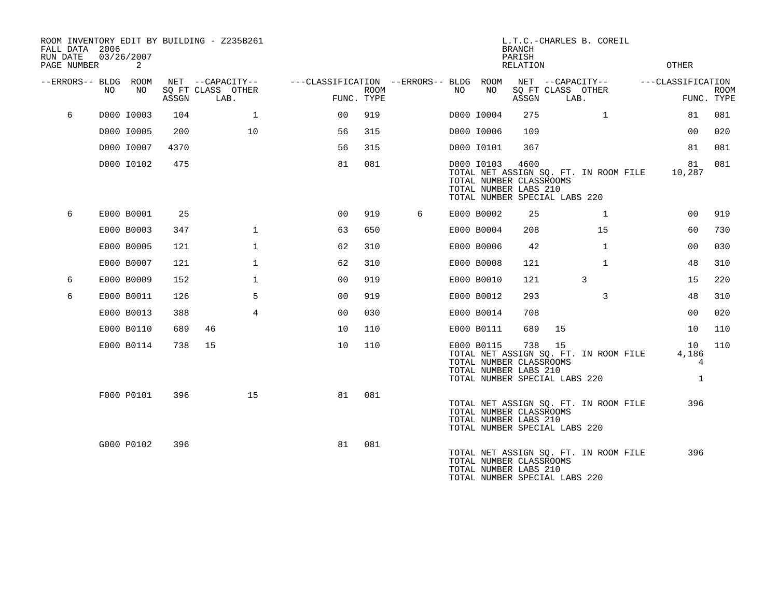| FALL DATA 2006<br>RUN DATE<br>PAGE NUMBER |     | 03/26/2007<br>2 |       | ROOM INVENTORY EDIT BY BUILDING - Z235B261    |                                                      |             |   |     |            | <b>BRANCH</b><br>PARISH<br>RELATION                      | L.T.C.-CHARLES B. COREIL                                                     | <b>OTHER</b>                     |                           |
|-------------------------------------------|-----|-----------------|-------|-----------------------------------------------|------------------------------------------------------|-------------|---|-----|------------|----------------------------------------------------------|------------------------------------------------------------------------------|----------------------------------|---------------------------|
| --ERRORS-- BLDG ROOM                      | NO. | NO              | ASSGN | NET --CAPACITY--<br>SQ FT CLASS OTHER<br>LAB. | ---CLASSIFICATION --ERRORS-- BLDG ROOM<br>FUNC. TYPE | <b>ROOM</b> |   | NO. | NO         | ASSGN                                                    | NET --CAPACITY--<br>SQ FT CLASS OTHER<br>LAB.                                | ---CLASSIFICATION                | <b>ROOM</b><br>FUNC. TYPE |
| 6                                         |     | D000 I0003      | 104   | $\mathbf{1}$                                  | 0 <sup>0</sup>                                       | 919         |   |     | D000 I0004 | 275                                                      | $\mathbf{1}$                                                                 | 81                               | 081                       |
|                                           |     | D000 I0005      | 200   | 10                                            | 56                                                   | 315         |   |     | D000 I0006 | 109                                                      |                                                                              | 0 <sub>0</sub>                   | 020                       |
|                                           |     | D000 I0007      | 4370  |                                               | 56                                                   | 315         |   |     | D000 I0101 | 367                                                      |                                                                              | 81                               | 081                       |
|                                           |     | D000 I0102      | 475   |                                               | 81                                                   | 081         |   |     | D000 I0103 | 4600<br>TOTAL NUMBER CLASSROOMS<br>TOTAL NUMBER LABS 210 | TOTAL NET ASSIGN SQ. FT. IN ROOM FILE<br>TOTAL NUMBER SPECIAL LABS 220       | 81<br>10,287                     | 081                       |
| 6                                         |     | E000 B0001      | 25    |                                               | 0 <sub>0</sub>                                       | 919         | 6 |     | E000 B0002 | 25                                                       | $\mathbf{1}$                                                                 | 00                               | 919                       |
|                                           |     | E000 B0003      | 347   | $\mathbf{1}$                                  | 63                                                   | 650         |   |     | E000 B0004 | 208                                                      | 15                                                                           | 60                               | 730                       |
|                                           |     | E000 B0005      | 121   | $\mathbf 1$                                   | 62                                                   | 310         |   |     | E000 B0006 | 42                                                       | $\mathbf{1}$                                                                 | 00                               | 030                       |
|                                           |     | E000 B0007      | 121   | $\mathbf 1$                                   | 62                                                   | 310         |   |     | E000 B0008 | 121                                                      | $\mathbf{1}$                                                                 | 48                               | 310                       |
| 6                                         |     | E000 B0009      | 152   | $\mathbf 1$                                   | 00                                                   | 919         |   |     | E000 B0010 | 121                                                      | 3                                                                            | 15                               | 220                       |
| 6                                         |     | E000 B0011      | 126   | 5                                             | 00                                                   | 919         |   |     | E000 B0012 | 293                                                      | 3                                                                            | 48                               | 310                       |
|                                           |     | E000 B0013      | 388   | $\overline{4}$                                | 0 <sub>0</sub>                                       | 030         |   |     | E000 B0014 | 708                                                      |                                                                              | 00                               | 020                       |
|                                           |     | E000 B0110      | 689   | 46                                            | 10                                                   | 110         |   |     | E000 B0111 | 689                                                      | 15                                                                           | 10                               | 110                       |
|                                           |     | E000 B0114      | 738   | 15                                            | 10                                                   | 110         |   |     | E000 B0115 | 738<br>TOTAL NUMBER CLASSROOMS<br>TOTAL NUMBER LABS 210  | 15<br>TOTAL NET ASSIGN SQ. FT. IN ROOM FILE<br>TOTAL NUMBER SPECIAL LABS 220 | 10<br>4,186<br>4<br>$\mathbf{1}$ | 110                       |
|                                           |     | F000 P0101      | 396   | 15                                            | 81                                                   | 081         |   |     |            | TOTAL NUMBER CLASSROOMS<br>TOTAL NUMBER LABS 210         | TOTAL NET ASSIGN SQ. FT. IN ROOM FILE<br>TOTAL NUMBER SPECIAL LABS 220       | 396                              |                           |
|                                           |     | G000 P0102      | 396   |                                               | 81                                                   | 081         |   |     |            | TOTAL NUMBER CLASSROOMS<br>TOTAL NUMBER LABS 210         | TOTAL NET ASSIGN SQ. FT. IN ROOM FILE<br>TOTAL NUMBER SPECIAL LABS 220       | 396                              |                           |